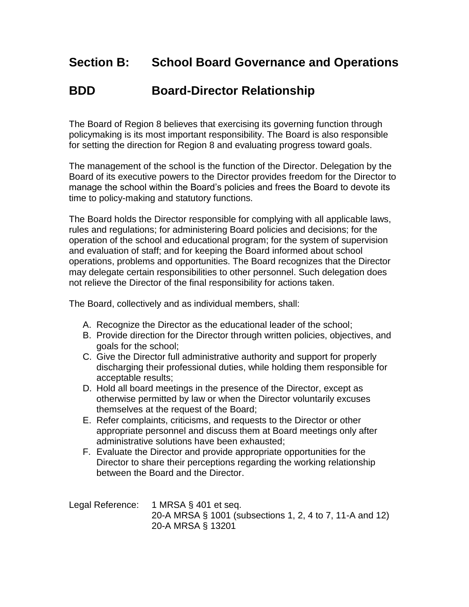## **Section B: School Board Governance and Operations**

## **BDD Board-Director Relationship**

The Board of Region 8 believes that exercising its governing function through policymaking is its most important responsibility. The Board is also responsible for setting the direction for Region 8 and evaluating progress toward goals.

The management of the school is the function of the Director. Delegation by the Board of its executive powers to the Director provides freedom for the Director to manage the school within the Board's policies and frees the Board to devote its time to policy-making and statutory functions.

The Board holds the Director responsible for complying with all applicable laws, rules and regulations; for administering Board policies and decisions; for the operation of the school and educational program; for the system of supervision and evaluation of staff; and for keeping the Board informed about school operations, problems and opportunities. The Board recognizes that the Director may delegate certain responsibilities to other personnel. Such delegation does not relieve the Director of the final responsibility for actions taken.

The Board, collectively and as individual members, shall:

- A. Recognize the Director as the educational leader of the school:
- B. Provide direction for the Director through written policies, objectives, and goals for the school;
- C. Give the Director full administrative authority and support for properly discharging their professional duties, while holding them responsible for acceptable results;
- D. Hold all board meetings in the presence of the Director, except as otherwise permitted by law or when the Director voluntarily excuses themselves at the request of the Board;
- E. Refer complaints, criticisms, and requests to the Director or other appropriate personnel and discuss them at Board meetings only after administrative solutions have been exhausted;
- F. Evaluate the Director and provide appropriate opportunities for the Director to share their perceptions regarding the working relationship between the Board and the Director.

Legal Reference: 1 MRSA § 401 et seq. 20-A MRSA § 1001 (subsections 1, 2, 4 to 7, 11-A and 12) 20-A MRSA § 13201